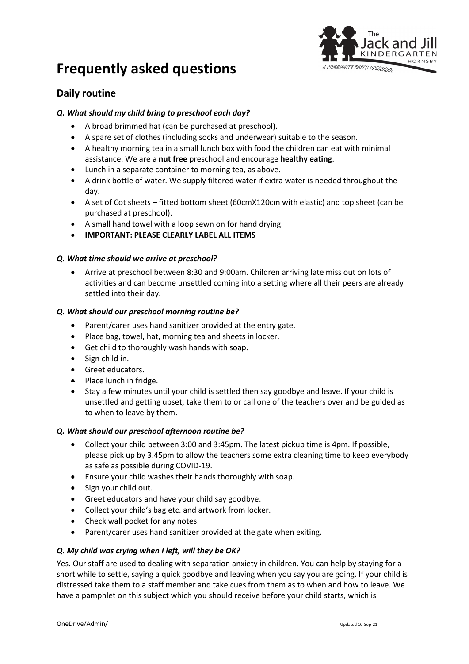



## **Daily routine**

#### *Q. What should my child bring to preschool each day?*

- A broad brimmed hat (can be purchased at preschool).
- A spare set of clothes (including socks and underwear) suitable to the season.
- A healthy morning tea in a small lunch box with food the children can eat with minimal assistance. We are a **nut free** preschool and encourage **healthy eating**.
- Lunch in a separate container to morning tea, as above.
- A drink bottle of water. We supply filtered water if extra water is needed throughout the day.
- A set of Cot sheets fitted bottom sheet (60cmX120cm with elastic) and top sheet (can be purchased at preschool).
- A small hand towel with a loop sewn on for hand drying.
- **IMPORTANT: PLEASE CLEARLY LABEL ALL ITEMS**

#### *Q. What time should we arrive at preschool?*

• Arrive at preschool between 8:30 and 9:00am. Children arriving late miss out on lots of activities and can become unsettled coming into a setting where all their peers are already settled into their day.

#### *Q. What should our preschool morning routine be?*

- Parent/carer uses hand sanitizer provided at the entry gate.
- Place bag, towel, hat, morning tea and sheets in locker.
- Get child to thoroughly wash hands with soap.
- Sign child in.
- Greet educators.
- Place lunch in fridge.
- Stay a few minutes until your child is settled then say goodbye and leave. If your child is unsettled and getting upset, take them to or call one of the teachers over and be guided as to when to leave by them.

#### *Q. What should our preschool afternoon routine be?*

- Collect your child between 3:00 and 3:45pm. The latest pickup time is 4pm. If possible, please pick up by 3.45pm to allow the teachers some extra cleaning time to keep everybody as safe as possible during COVID-19.
- Ensure your child washes their hands thoroughly with soap.
- Sign your child out.
- Greet educators and have your child say goodbye.
- Collect your child's bag etc. and artwork from locker.
- Check wall pocket for any notes.
- Parent/carer uses hand sanitizer provided at the gate when exiting.

#### *Q. My child was crying when I left, will they be OK?*

Yes. Our staff are used to dealing with separation anxiety in children. You can help by staying for a short while to settle, saying a quick goodbye and leaving when you say you are going. If your child is distressed take them to a staff member and take cues from them as to when and how to leave. We have a pamphlet on this subject which you should receive before your child starts, which is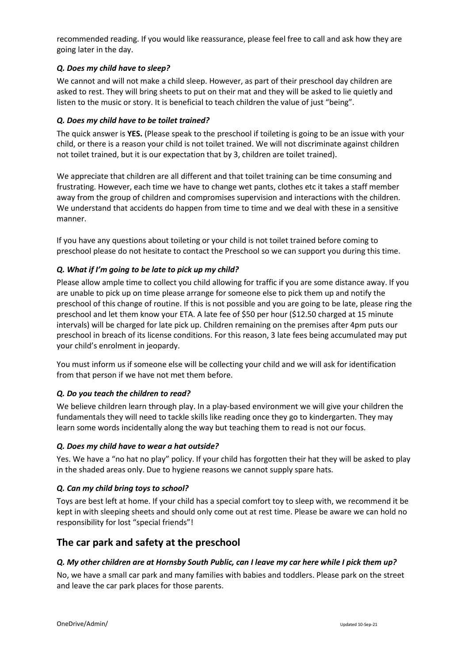recommended reading. If you would like reassurance, please feel free to call and ask how they are going later in the day.

#### *Q. Does my child have to sleep?*

We cannot and will not make a child sleep. However, as part of their preschool day children are asked to rest. They will bring sheets to put on their mat and they will be asked to lie quietly and listen to the music or story. It is beneficial to teach children the value of just "being".

#### *Q. Does my child have to be toilet trained?*

The quick answer is **YES.** (Please speak to the preschool if toileting is going to be an issue with your child, or there is a reason your child is not toilet trained. We will not discriminate against children not toilet trained, but it is our expectation that by 3, children are toilet trained).

We appreciate that children are all different and that toilet training can be time consuming and frustrating. However, each time we have to change wet pants, clothes etc it takes a staff member away from the group of children and compromises supervision and interactions with the children. We understand that accidents do happen from time to time and we deal with these in a sensitive manner.

If you have any questions about toileting or your child is not toilet trained before coming to preschool please do not hesitate to contact the Preschool so we can support you during this time.

#### *Q. What if I'm going to be late to pick up my child?*

Please allow ample time to collect you child allowing for traffic if you are some distance away. If you are unable to pick up on time please arrange for someone else to pick them up and notify the preschool of this change of routine. If this is not possible and you are going to be late, please ring the preschool and let them know your ETA. A late fee of \$50 per hour (\$12.50 charged at 15 minute intervals) will be charged for late pick up. Children remaining on the premises after 4pm puts our preschool in breach of its license conditions. For this reason, 3 late fees being accumulated may put your child's enrolment in jeopardy.

You must inform us if someone else will be collecting your child and we will ask for identification from that person if we have not met them before.

#### *Q. Do you teach the children to read?*

We believe children learn through play. In a play-based environment we will give your children the fundamentals they will need to tackle skills like reading once they go to kindergarten. They may learn some words incidentally along the way but teaching them to read is not our focus.

#### *Q. Does my child have to wear a hat outside?*

Yes. We have a "no hat no play" policy. If your child has forgotten their hat they will be asked to play in the shaded areas only. Due to hygiene reasons we cannot supply spare hats.

#### *Q. Can my child bring toys to school?*

Toys are best left at home. If your child has a special comfort toy to sleep with, we recommend it be kept in with sleeping sheets and should only come out at rest time. Please be aware we can hold no responsibility for lost "special friends"!

## **The car park and safety at the preschool**

#### *Q. My other children are at Hornsby South Public, can I leave my car here while I pick them up?*

No, we have a small car park and many families with babies and toddlers. Please park on the street and leave the car park places for those parents.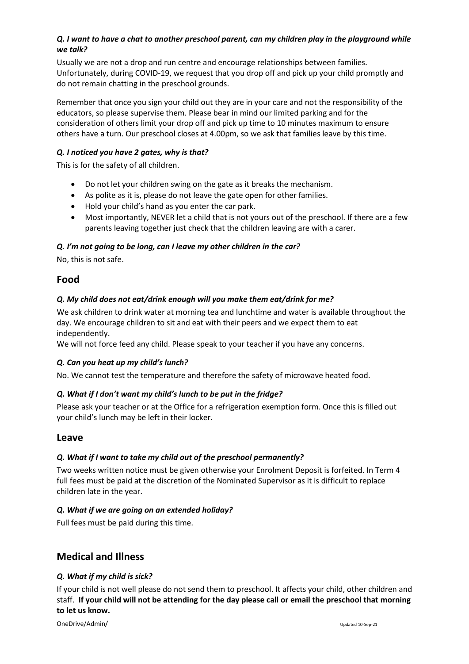## *Q. I want to have a chat to another preschool parent, can my children play in the playground while we talk?*

Usually we are not a drop and run centre and encourage relationships between families. Unfortunately, during COVID-19, we request that you drop off and pick up your child promptly and do not remain chatting in the preschool grounds.

Remember that once you sign your child out they are in your care and not the responsibility of the educators, so please supervise them. Please bear in mind our limited parking and for the consideration of others limit your drop off and pick up time to 10 minutes maximum to ensure others have a turn. Our preschool closes at 4.00pm, so we ask that families leave by this time.

### *Q. I noticed you have 2 gates, why is that?*

This is for the safety of all children.

- Do not let your children swing on the gate as it breaks the mechanism.
- As polite as it is, please do not leave the gate open for other families.
- Hold your child's hand as you enter the car park.
- Most importantly, NEVER let a child that is not yours out of the preschool. If there are a few parents leaving together just check that the children leaving are with a carer.

## *Q. I'm not going to be long, can I leave my other children in the car?*

No, this is not safe.

## **Food**

## *Q. My child does not eat/drink enough will you make them eat/drink for me?*

We ask children to drink water at morning tea and lunchtime and water is available throughout the day. We encourage children to sit and eat with their peers and we expect them to eat independently.

We will not force feed any child. Please speak to your teacher if you have any concerns.

### *Q. Can you heat up my child's lunch?*

No. We cannot test the temperature and therefore the safety of microwave heated food.

### *Q. What if I don't want my child's lunch to be put in the fridge?*

Please ask your teacher or at the Office for a refrigeration exemption form. Once this is filled out your child's lunch may be left in their locker.

## **Leave**

### *Q. What if I want to take my child out of the preschool permanently?*

Two weeks written notice must be given otherwise your Enrolment Deposit is forfeited. In Term 4 full fees must be paid at the discretion of the Nominated Supervisor as it is difficult to replace children late in the year.

### *Q. What if we are going on an extended holiday?*

Full fees must be paid during this time.

## **Medical and Illness**

### *Q. What if my child is sick?*

If your child is not well please do not send them to preschool. It affects your child, other children and staff. **If your child will not be attending for the day please call or email the preschool that morning to let us know.**

OneDrive/Admin/ Updated 10-Sep-21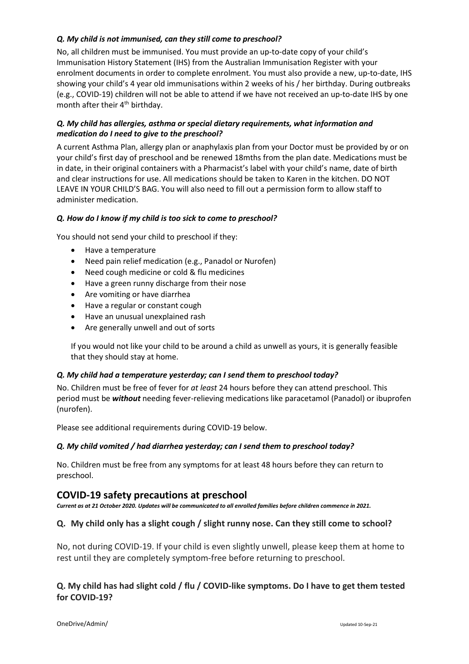### *Q. My child is not immunised, can they still come to preschool?*

No, all children must be immunised. You must provide an up-to-date copy of your child's Immunisation History Statement (IHS) from the Australian Immunisation Register with your enrolment documents in order to complete enrolment. You must also provide a new, up-to-date, IHS showing your child's 4 year old immunisations within 2 weeks of his / her birthday. During outbreaks (e.g., COVID-19) children will not be able to attend if we have not received an up-to-date IHS by one month after their 4<sup>th</sup> birthday.

#### *Q. My child has allergies, asthma or special dietary requirements, what information and medication do I need to give to the preschool?*

A current Asthma Plan, allergy plan or anaphylaxis plan from your Doctor must be provided by or on your child's first day of preschool and be renewed 18mths from the plan date. Medications must be in date, in their original containers with a Pharmacist's label with your child's name, date of birth and clear instructions for use. All medications should be taken to Karen in the kitchen. DO NOT LEAVE IN YOUR CHILD'S BAG. You will also need to fill out a permission form to allow staff to administer medication.

### *Q. How do I know if my child is too sick to come to preschool?*

You should not send your child to preschool if they:

- Have a temperature
- Need pain relief medication (e.g., Panadol or Nurofen)
- Need cough medicine or cold & flu medicines
- Have a green runny discharge from their nose
- Are vomiting or have diarrhea
- Have a regular or constant cough
- Have an unusual unexplained rash
- Are generally unwell and out of sorts

If you would not like your child to be around a child as unwell as yours, it is generally feasible that they should stay at home.

#### *Q. My child had a temperature yesterday; can I send them to preschool today?*

No. Children must be free of fever for *at least* 24 hours before they can attend preschool. This period must be *without* needing fever-relieving medications like paracetamol (Panadol) or ibuprofen (nurofen).

Please see additional requirements during COVID-19 below.

#### *Q. My child vomited / had diarrhea yesterday; can I send them to preschool today?*

No. Children must be free from any symptoms for at least 48 hours before they can return to preschool.

### **COVID-19 safety precautions at preschool**

*Current as at 21 October 2020. Updates will be communicated to all enrolled families before children commence in 2021.*

### **Q. My child only has a slight cough / slight runny nose. Can they still come to school?**

No, not during COVID-19. If your child is even slightly unwell, please keep them at home to rest until they are completely symptom-free before returning to preschool.

## **Q. My child has had slight cold / flu / COVID-like symptoms. Do I have to get them tested for COVID-19?**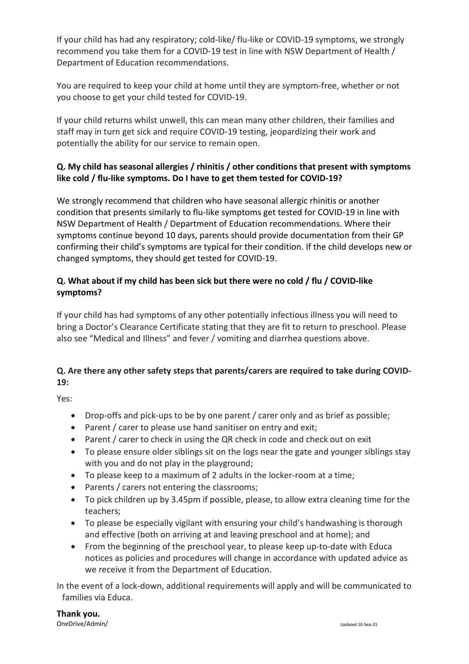If your child has had any respiratory; cold-like/ flu-like or COVID-19 symptoms, we strongly recommend you take them for a COVID-19 test in line with NSW Department of Health / Department of Education recommendations.

You are required to keep your child at home until they are symptom-free, whether or not you choose to get your child tested for COVID-19.

If your child returns whilst unwell, this can mean many other children, their families and staff may in turn get sick and require COVID-19 testing, jeopardizing their work and potentially the ability for our service to remain open.

## **Q. My child has seasonal allergies / rhinitis / other conditions that present with symptoms like cold / flu-like symptoms. Do I have to get them tested for COVID-19?**

We strongly recommend that children who have seasonal allergic rhinitis or another condition that presents similarly to flu-like symptoms get tested for COVID-19 in line with NSW Department of Health / Department of Education recommendations. Where their symptoms continue beyond 10 days, parents should provide documentation from their GP confirming their child's symptoms are typical for their condition. If the child develops new or changed symptoms, they should get tested for COVID-19.

## **Q. What about if my child has been sick but there were no cold / flu / COVID-like symptoms?**

If your child has had symptoms of any other potentially infectious illness you will need to bring a Doctor's Clearance Certificate stating that they are fit to return to preschool. Please also see "Medical and Illness" and fever / vomiting and diarrhea questions above.

# **Q. Are there any other safety steps that parents/carers are required to take during COVID-19:**

Yes:

- Drop-offs and pick-ups to be by one parent / carer only and as brief as possible;
- Parent / carer to please use hand sanitiser on entry and exit;
- Parent / carer to check in using the QR check in code and check out on exit
- To please ensure older siblings sit on the logs near the gate and younger siblings stay with you and do not play in the playground;
- To please keep to a maximum of 2 adults in the locker-room at a time;
- Parents / carers not entering the classrooms;
- To pick children up by 3.45pm if possible, please, to allow extra cleaning time for the teachers;
- To please be especially vigilant with ensuring your child's handwashing is thorough and effective (both on arriving at and leaving preschool and at home); and
- From the beginning of the preschool year, to please keep up-to-date with Educa notices as policies and procedures will change in accordance with updated advice as we receive it from the Department of Education.

In the event of a lock-down, additional requirements will apply and will be communicated to families via Educa.